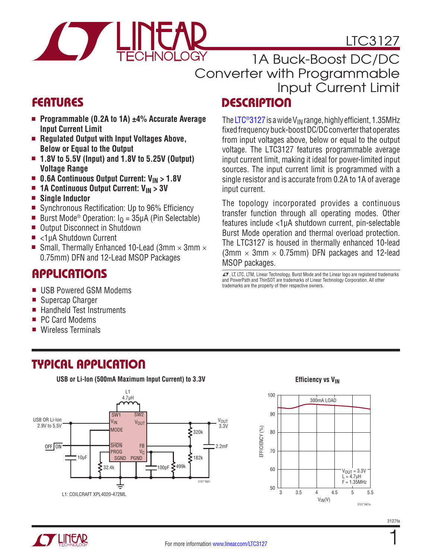



**DESCRIPTION** 1A Buck-Boost DC/DC Converter with Programmable Input Current Limit

input current.

MSOP packages.

trademarks are the property of their respective owners.

The LTC<sup>®</sup>3127 is a wide V<sub>IN</sub> range, highly efficient, 1.35MHz fixed frequency buck-boost DC/DC converter that operates from input voltages above, below or equal to the output voltage. The LTC3127 features programmable average input current limit, making it ideal for power-limited input sources. The input current limit is programmed with a single resistor and is accurate from 0.2A to 1A of average

The topology incorporated provides a continuous transfer function through all operating modes. Other features include <1μA shutdown current, pin-selectable Burst Mode operation and thermal overload protection. The LTC3127 is housed in thermally enhanced 10-lead  $(3mm \times 3mm \times 0.75mm)$  DFN packages and 12-lead

 $\sqrt{J}$ , LT, LTC, LTM, Linear Technology, Burst Mode and the Linear logo are registered trademarks and PowerPath and ThinSOT are trademarks of Linear Technology Corporation. All other

## FEATURES

- Programmable (0.2A to 1A) ±4% Accurate Average **Input Current Limit**
- Regulated Output with Input Voltages Above, **Below or Equal to the Output**
- 1.8V to 5.5V (Input) and 1.8V to 5.25V (Output) **Voltage Range**
- 0.6A Continuous Output Current: V<sub>IN</sub> > 1.8V
- **n 1A Continuous Output Current: V<sub>IN</sub> > 3V**
- <sup>n</sup> **Single Inductor**
- Synchronous Rectification: Up to 96% Efficiency
- Burst Mode<sup>®</sup> Operation:  $I<sub>0</sub> = 35 \mu A$  (Pin Selectable)
- Output Disconnect in Shutdown
- <1uA Shutdown Current
- Small, Thermally Enhanced 10-Lead (3mm  $\times$  3mm  $\times$ 0.75mm) DFN and 12-Lead MSOP Packages

### **APPLICATIONS**

- USB Powered GSM Modems
- Supercap Charger
- <sup>n</sup> Handheld Test Instruments
- PC Card Modems
- **Wireless Terminals**

## TYPICAL APPLICATION

**USB or Li-Ion (500mA Maximum Input Current) to 3.3V**



**Efficiency vs V<sub>IN</sub>** 

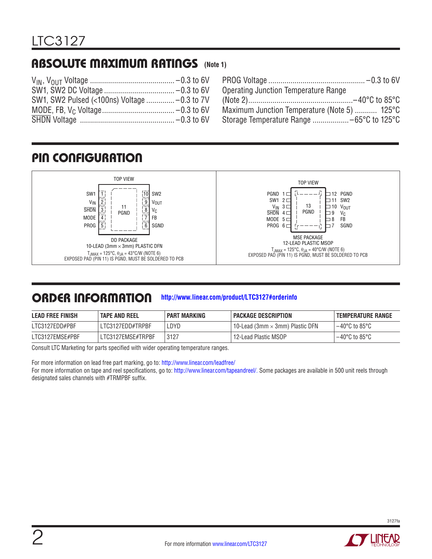### ABSOLUTE MAXIMUM RATINGS **(Note 1)**

| <b>Operating Junction Temperature Range</b>  |
|----------------------------------------------|
|                                              |
| Maximum Junction Temperature (Note 5)  125°C |
|                                              |
|                                              |

## PIN CONFIGURATION



#### ORDER INFORMATION **<http://www.linear.com/product/LTC3127#orderinfo>**

| <b>LEAD FREE FINISH</b> | <b>TAPE AND REEL</b> | <b>PART MARKING</b> | PACKAGE DESCRIPTION                    | I TEMPERATURE RANGE       |
|-------------------------|----------------------|---------------------|----------------------------------------|---------------------------|
| LTC3127EDD#PBF          | LTC3127EDD#TRPBF     | ∟DYD                | 10-Lead (3mm $\times$ 3mm) Plastic DFN | l –40°C to 85°C           |
| LTC3127EMSE#PBF         | LTC3127EMSE#TRPBF    | 3127                | 12-Lead Plastic MSOP                   | $-40^{\circ}$ C to 85°C . |

Consult LTC Marketing for parts specified with wider operating temperature ranges.

For more information on lead free part marking, go to: http://www.linear.com/leadfree/

For more information on tape and reel specifications, go to: http://www.linear.com/tapeandreel/. Some packages are available in 500 unit reels through designated sales channels with #TRMPBF suffix.

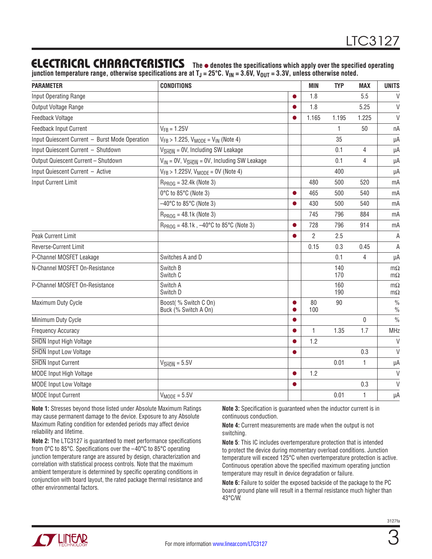### ELECTRICAL CHARACTERISTICS The  $\bullet$  denotes the specifications which apply over the specified operating

**junction temperature range, otherwise specifications are at TJ = 25°C. VIN = 3.6V, VOUT = 3.3V, unless otherwise noted.**

| <b>PARAMETER</b>                               | <b>CONDITIONS</b>                                               |   | <b>MIN</b>   | <b>TYP</b> | <b>MAX</b>   | <b>UNITS</b>                   |
|------------------------------------------------|-----------------------------------------------------------------|---|--------------|------------|--------------|--------------------------------|
| Input Operating Range                          |                                                                 |   | 1.8          |            | 5.5          | $\vee$                         |
| Output Voltage Range                           |                                                                 |   | 1.8          |            | 5.25         | $\vee$                         |
| Feedback Voltage                               |                                                                 |   | 1.165        | 1.195      | 1.225        | $\vee$                         |
| Feedback Input Current                         | $V_{FB} = 1.25V$                                                |   |              | 1          | 50           | nA                             |
| Input Quiescent Current - Burst Mode Operation | $V_{FB}$ > 1.225, $V_{MODE}$ = $V_{IN}$ (Note 4)                |   |              | 35         |              | μA                             |
| Input Quiescent Current - Shutdown             | $V_{\overline{\text{SHDN}}}$ = 0V, Including SW Leakage         |   |              | 0.1        | 4            | μA                             |
| Output Quiescent Current - Shutdown            | $V_{IN}$ = 0V, $V_{\overline{SHDN}}$ = 0V, Including SW Leakage |   |              | 0.1        | 4            | μA                             |
| Input Quiescent Current - Active               | $V_{FB}$ > 1.225V, $V_{MODE}$ = 0V (Note 4)                     |   |              | 400        |              | μA                             |
| <b>Input Current Limit</b>                     | $R_{PROG} = 32.4k$ (Note 3)                                     |   | 480          | 500        | 520          | mA                             |
|                                                | 0°C to 85°C (Note 3)                                            |   | 465          | 500        | 540          | mA                             |
|                                                | $-40^{\circ}$ C to 85 $^{\circ}$ C (Note 3)                     |   | 430          | 500        | 540          | mA                             |
|                                                | $R_{PROG} = 48.1k$ (Note 3)                                     |   | 745          | 796        | 884          | mA                             |
|                                                | $R_{PROG} = 48.1k$ , $-40^{\circ}C$ to 85°C (Note 3)            |   | 728          | 796        | 914          | mA                             |
| Peak Current Limit                             |                                                                 |   | 2            | 2.5        |              | A                              |
| Reverse-Current Limit                          |                                                                 |   | 0.15         | 0.3        | 0.45         | A                              |
| P-Channel MOSFET Leakage                       | Switches A and D                                                |   |              | 0.1        | 4            | μA                             |
| N-Channel MOSFET On-Resistance                 | Switch B<br>Switch C                                            |   |              | 140<br>170 |              | $m\Omega$<br>$m\Omega$         |
| P-Channel MOSFET On-Resistance                 | Switch A<br>Switch D                                            |   |              | 160<br>190 |              | $m\Omega$<br>$m\Omega$         |
| Maximum Duty Cycle                             | Boost(% Switch C On)<br>Buck (% Switch A On)                    |   | 80<br>100    | 90         |              | $\frac{0}{0}$<br>$\frac{0}{0}$ |
| Minimum Duty Cycle                             |                                                                 |   |              |            | 0            | $\frac{0}{0}$                  |
| <b>Frequency Accuracy</b>                      |                                                                 |   | $\mathbf{1}$ | 1.35       | 1.7          | <b>MHz</b>                     |
| SHDN Input High Voltage                        |                                                                 |   | 1.2          |            |              | V                              |
| <b>SHDN</b> Input Low Voltage                  |                                                                 | ● |              |            | 0.3          | $\vee$                         |
| <b>SHDN</b> Input Current                      | $V_{\overline{\text{SHDN}}} = 5.5V$                             |   |              | 0.01       | $\mathbf{1}$ | μA                             |
| MODE Input High Voltage                        |                                                                 |   | 1.2          |            |              | $\vee$                         |
| <b>MODE Input Low Voltage</b>                  |                                                                 |   |              |            | 0.3          | $\vee$                         |
| <b>MODE Input Current</b>                      | $V_{MODE} = 5.5V$                                               |   |              | 0.01       | $\mathbf{1}$ | μA                             |

**Note 1:** Stresses beyond those listed under Absolute Maximum Ratings may cause permanent damage to the device. Exposure to any Absolute Maximum Rating condition for extended periods may affect device reliability and lifetime.

**Note 2:** The LTC3127 is guaranteed to meet performance specifications from 0°C to 85°C. Specifications over the –40°C to 85°C operating junction temperature range are assured by design, characterization and correlation with statistical process controls. Note that the maximum ambient temperature is determined by specific operating conditions in conjunction with board layout, the rated package thermal resistance and other environmental factors.

**Note 3:** Specification is guaranteed when the inductor current is in continuous conduction.

**Note 4:** Current measurements are made when the output is not switching.

**Note 5**: This IC includes overtemperature protection that is intended to protect the device during momentary overload conditions. Junction temperature will exceed 125°C when overtemperature protection is active. Continuous operation above the specified maximum operating junction temperature may result in device degradation or failure.

**Note 6:** Failure to solder the exposed backside of the package to the PC board ground plane will result in a thermal resistance much higher than 43°C/W.

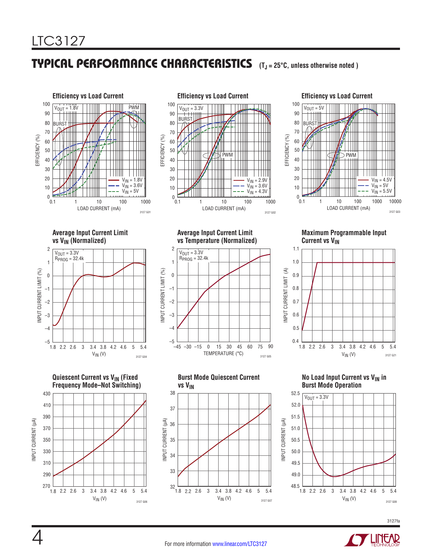## TYPICAL PERFORMANCE CHARACTERISTICS **(TJ = 25°C, unless otherwise noted )**



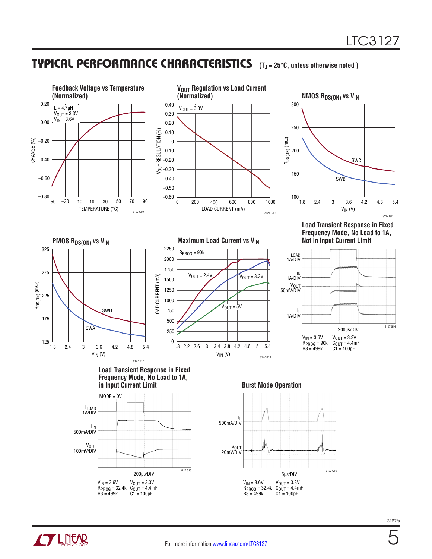### TYPICAL PERFORMANCE CHARACTERISTICS **(TJ <sup>=</sup> 25°C, unless otherwise noted )**



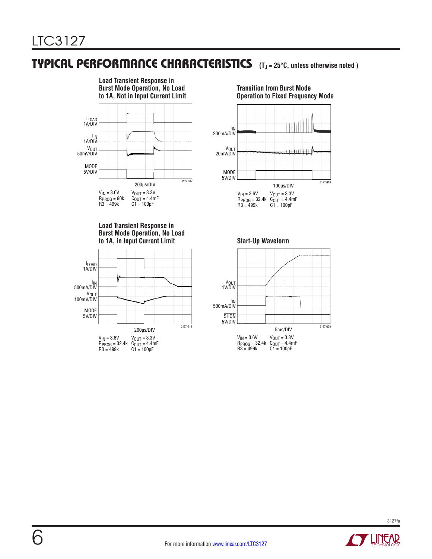### TYPICAL PERFORMANCE CHARACTERISTICS **(TJ <sup>=</sup> 25°C, unless otherwise noted )**



**Load Transient Response in Burst Mode Operation, No Load to 1A, in Input Current Limit Start-Up Waveform**



**Transition from Burst Mode Operation to Fixed Frequency Mode**





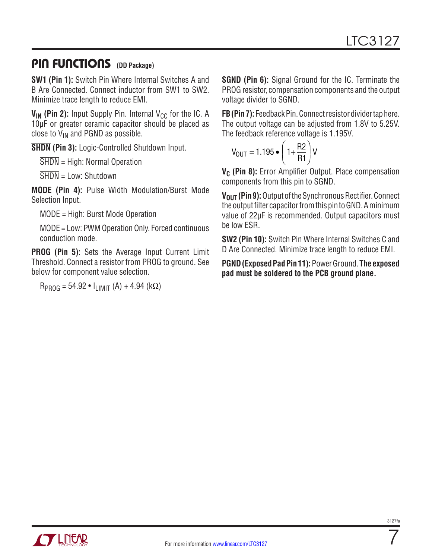### PIN FUNCTIONS **(DD Package)**

**SW1 (Pin 1):** Switch Pin Where Internal Switches A and B Are Connected. Connect inductor from SW1 to SW2. Minimize trace length to reduce EMI.

 $V_{IN}$  (Pin 2): Input Supply Pin. Internal  $V_{CC}$  for the IC. A 10μF or greater ceramic capacitor should be placed as close to  $V_{IN}$  and PGND as possible.

**SHDN (Pin 3):** Logic-Controlled Shutdown Input.

SHDN = High: Normal Operation

 $\overline{SHDN}$  = Low: Shutdown

**MODE (Pin 4):** Pulse Width Modulation/Burst Mode Selection Input.

MODE = High: Burst Mode Operation

MODE = Low: PWM Operation Only. Forced continuous conduction mode.

**PROG (Pin 5):** Sets the Average Input Current Limit Threshold. Connect a resistor from PROG to ground. See below for component value selection.

 $R_{PROG} = 54.92 \cdot I_{LIMIT} (A) + 4.94 (kΩ)$ 

**SGND (Pin 6):** Signal Ground for the IC. Terminate the PROG resistor, compensation components and the output voltage divider to SGND.

**FB (Pin 7):** Feedback Pin. Connect resistor divider tap here. The output voltage can be adjusted from 1.8V to 5.25V. The feedback reference voltage is 1.195V.

$$
V_{OUT} = 1.195 \bullet \left(1 + \frac{R2}{R1}\right)V
$$

V<sub>C</sub> (Pin 8): Error Amplifier Output. Place compensation components from this pin to SGND.

**V<sub>OUT</sub>** (Pin 9): Output of the Synchronous Rectifier. Connect the output filter capacitor from this pin to GND. A minimum value of 22µF is recommended. Output capacitors must be low ESR.

**SW2 (Pin 10):** Switch Pin Where Internal Switches C and D Are Connected. Minimize trace length to reduce EMI.

**PGND (Exposed Pad Pin 11):** Power Ground. **The exposed pad must be soldered to the PCB ground plane.**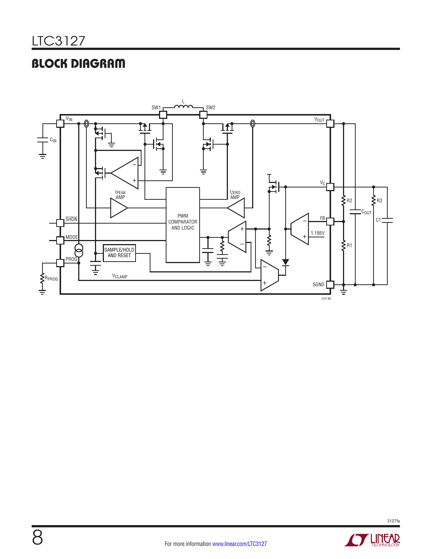# BLOCK DIAGRAM



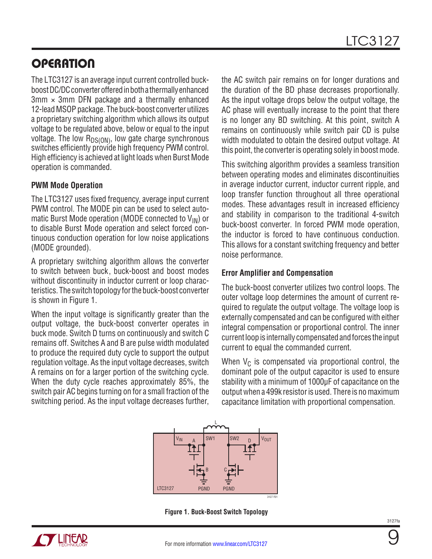### **OPERATION**

The LTC3127 is an average input current controlled buckboost DC/DC converter offered in both a thermally enhanced  $3mm \times 3mm$  DFN package and a thermally enhanced 12-lead MSOP package. The buck-boost converter utilizes a proprietary switching algorithm which allows its output voltage to be regulated above, below or equal to the input voltage. The low  $R_{DS(ON)}$ , low gate charge synchronous switches efficiently provide high frequency PWM control. High efficiency is achieved at light loads when Burst Mode operation is commanded.

#### **PWM Mode Operation**

The LTC3127 uses fixed frequency, average input current PWM control. The MODE pin can be used to select automatic Burst Mode operation (MODE connected to  $V_{IN}$ ) or to disable Burst Mode operation and select forced continuous conduction operation for low noise applications (MODE grounded).

A proprietary switching algorithm allows the converter to switch between buck, buck-boost and boost modes without discontinuity in inductor current or loop characteristics. The switch topology for the buck-boost converter is shown in Figure 1.

When the input voltage is significantly greater than the output voltage, the buck-boost converter operates in buck mode. Switch D turns on continuously and switch C remains off. Switches A and B are pulse width modulated to produce the required duty cycle to support the output regulation voltage. As the input voltage decreases, switch A remains on for a larger portion of the switching cycle. When the duty cycle reaches approximately 85%, the switch pair AC begins turning on for a small fraction of the switching period. As the input voltage decreases further, the AC switch pair remains on for longer durations and the duration of the BD phase decreases proportionally. As the input voltage drops below the output voltage, the AC phase will eventually increase to the point that there is no longer any BD switching. At this point, switch A remains on continuously while switch pair CD is pulse width modulated to obtain the desired output voltage. At this point, the converter is operating solely in boost mode.

This switching algorithm provides a seamless transition between operating modes and eliminates discontinuities in average inductor current, inductor current ripple, and loop transfer function throughout all three operational modes. These advantages result in increased efficiency and stability in comparison to the traditional 4-switch buck-boost converter. In forced PWM mode operation, the inductor is forced to have continuous conduction. This allows for a constant switching frequency and better noise performance.

#### **Error Amplifier and Compensation**

The buck-boost converter utilizes two control loops. The outer voltage loop determines the amount of current required to regulate the output voltage. The voltage loop is externally compensated and can be configured with either integral compensation or proportional control. The inner current loop is internally compensated and forces the input current to equal the commanded current.

When  $V_C$  is compensated via proportional control, the dominant pole of the output capacitor is used to ensure stability with a minimum of 1000µF of capacitance on the output when a 499k resistor is used. There is no maximum capacitance limitation with proportional compensation.



**Figure 1. Buck-Boost Switch Topology**

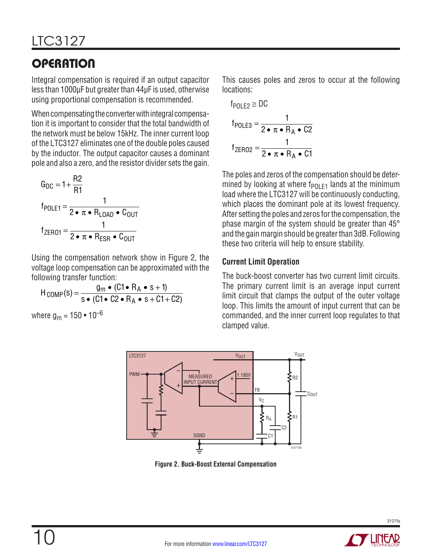# **OPERATION**

Integral compensation is required if an output capacitor less than 1000µF but greater than 44µF is used, otherwise using proportional compensation is recommended.

When compensating the converter with integral compensation it is important to consider that the total bandwidth of the network must be below 15kHz. The inner current loop of the LTC3127 eliminates one of the double poles caused by the inductor. The output capacitor causes a dominant pole and also a zero, and the resistor divider sets the gain.

$$
G_{DC} = 1 + \frac{R2}{R1}
$$
  
f<sub>POLE1</sub> =  $\frac{1}{2 \cdot \pi \cdot R_{LOAD} \cdot C_{OUT}}$   
f<sub>ZERO1</sub> =  $\frac{1}{2 \cdot \pi \cdot R_{ESR} \cdot C_{OUT}}$ 

Using the compensation network show in Figure 2, the voltage loop compensation can be approximated with the following transfer function:

$$
H_{\text{COMP}}(s) = \frac{g_m \bullet (C1 \bullet R_A \bullet s + 1)}{s \bullet (C1 \bullet C2 \bullet R_A \bullet s + C1 + C2)}
$$

where  $q_m = 150 \cdot 10^{-6}$ 

This causes poles and zeros to occur at the following locations:

$$
f_{POLE2} \cong DC
$$
\n
$$
f_{POLE3} = \frac{1}{2 \cdot \pi \cdot R_A \cdot C2}
$$
\n
$$
f_{ZERO2} = \frac{1}{2 \cdot \pi \cdot R_A \cdot C1}
$$

The poles and zeros of the compensation should be determined by looking at where  $f_{P0}F_1$  lands at the minimum load where the LTC3127 will be continuously conducting, which places the dominant pole at its lowest frequency. After setting the poles and zeros for the compensation, the phase margin of the system should be greater than 45° and the gain margin should be greater than 3dB. Following these two criteria will help to ensure stability.

### **Current Limit Operation**

The buck-boost converter has two current limit circuits. The primary current limit is an average input current limit circuit that clamps the output of the outer voltage loop. This limits the amount of input current that can be commanded, and the inner current loop regulates to that clamped value.



**Figure 2. Buck-Boost External Compensation**

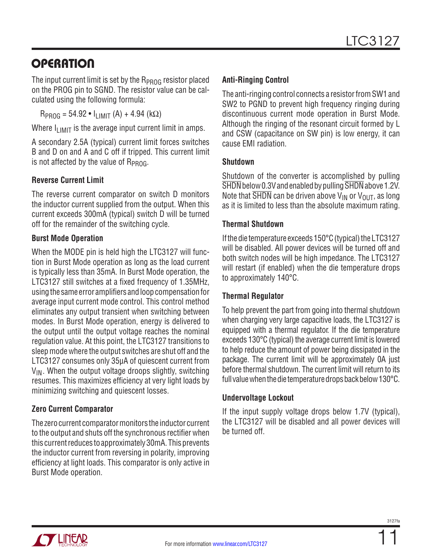## **OPERATION**

The input current limit is set by the R<sub>PROG</sub> resistor placed on the PROG pin to SGND. The resistor value can be calculated using the following formula:

 $R_{PROG} = 54.92 \cdot I_{LIMIT}(A) + 4.94 (k\Omega)$ 

Where  $I_{\text{LIMIT}}$  is the average input current limit in amps.

A secondary 2.5A (typical) current limit forces switches B and D on and A and C off if tripped. This current limit is not affected by the value of  $R_{PROG}$ .

#### **Reverse Current Limit**

The reverse current comparator on switch D monitors the inductor current supplied from the output. When this current exceeds 300mA (typical) switch D will be turned off for the remainder of the switching cycle.

#### **Burst Mode Operation**

When the MODE pin is held high the LTC3127 will function in Burst Mode operation as long as the load current is typically less than 35mA. In Burst Mode operation, the LTC3127 still switches at a fixed frequency of 1.35MHz, using the same error amplifiers and loop compensation for average input current mode control. This control method eliminates any output transient when switching between modes. In Burst Mode operation, energy is delivered to the output until the output voltage reaches the nominal regulation value. At this point, the LTC3127 transitions to sleep mode where the output switches are shut off and the LTC3127 consumes only 35μA of quiescent current from  $V_{IN}$ . When the output voltage droops slightly, switching resumes. This maximizes efficiency at very light loads by minimizing switching and quiescent losses.

### **Zero Current Comparator**

The zero current comparator monitors the inductor current to the output and shuts off the synchronous rectifier when this current reduces to approximately 30mA. This prevents the inductor current from reversing in polarity, improving efficiency at light loads. This comparator is only active in Burst Mode operation.

#### **Anti-Ringing Control**

The anti-ringing control connects a resistor from SW1 and SW2 to PGND to prevent high frequency ringing during discontinuous current mode operation in Burst Mode. Although the ringing of the resonant circuit formed by L and CSW (capacitance on SW pin) is low energy, it can cause EMI radiation.

#### **Shutdown**

Shutdown of the converter is accomplished by pulling SHDN below 0.3V and enabled by pulling SHDN above 1.2V. Note that  $\overline{SHDN}$  can be driven above  $V_{IN}$  or  $V_{OUT}$ , as long as it is limited to less than the absolute maximum rating.

#### **Thermal Shutdown**

If the die temperature exceeds 150°C (typical) the LTC3127 will be disabled. All power devices will be turned off and both switch nodes will be high impedance. The LTC3127 will restart (if enabled) when the die temperature drops to approximately 140°C.

### **Thermal Regulator**

To help prevent the part from going into thermal shutdown when charging very large capacitive loads, the LTC3127 is equipped with a thermal regulator. If the die temperature exceeds 130°C (typical) the average current limit is lowered to help reduce the amount of power being dissipated in the package. The current limit will be approximately 0A just before thermal shutdown. The current limit will return to its full value when the die temperature drops back below 130°C.

#### **Undervoltage Lockout**

If the input supply voltage drops below 1.7V (typical), the LTC3127 will be disabled and all power devices will be turned off.

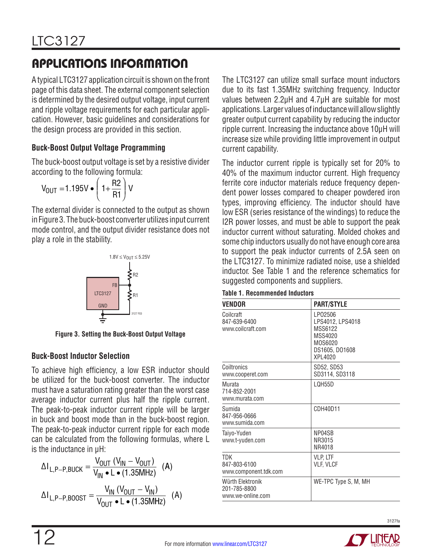A typical LTC3127 application circuit is shown on the front page of this data sheet. The external component selection is determined by the desired output voltage, input current and ripple voltage requirements for each particular application. However, basic guidelines and considerations for the design process are provided in this section.

#### **Buck-Boost Output Voltage Programming**

The buck-boost output voltage is set by a resistive divider according to the following formula:

$$
V_{\text{OUT}} = 1.195 \text{V} \cdot \left(1 + \frac{\text{R2}}{\text{R1}}\right) \text{V}
$$

The external divider is connected to the output as shown in Figure 3. The buck-boost converter utilizes input current mode control, and the output divider resistance does not play a role in the stability.



**Figure 3. Setting the Buck-Boost Output Voltage**

#### **Buck-Boost Inductor Selection**

12

To achieve high efficiency, a low ESR inductor should be utilized for the buck-boost converter. The inductor must have a saturation rating greater than the worst case average inductor current plus half the ripple current. The peak-to-peak inductor current ripple will be larger in buck and boost mode than in the buck-boost region. The peak-to-peak inductor current ripple for each mode can be calculated from the following formulas, where L is the inductance in μH:

$$
\Delta I_{L,P-P,BUCK} = \frac{V_{OUT} (V_{IN} - V_{OUT})}{V_{IN} \cdot L \cdot (1.35MHz)} (A)
$$

$$
\Delta I_{L,P-P,BOOST} = \frac{V_{IN} (V_{OUT} - V_{IN})}{V_{OUT} \cdot L \cdot (1.35MHz)} (A)
$$

The LTC3127 can utilize small surface mount inductors due to its fast 1.35MHz switching frequency. Inductor values between 2.2μH and 4.7μH are suitable for most applications. Larger values of inductance will allow slightly greater output current capability by reducing the inductor ripple current. Increasing the inductance above 10μH will increase size while providing little improvement in output current capability.

The inductor current ripple is typically set for 20% to 40% of the maximum inductor current. High frequency ferrite core inductor materials reduce frequency dependent power losses compared to cheaper powdered iron types, improving efficiency. The inductor should have low ESR (series resistance of the windings) to reduce the I2R power losses, and must be able to support the peak inductor current without saturating. Molded chokes and some chip inductors usually do not have enough core area to support the peak inductor currents of 2.5A seen on the LTC3127. To minimize radiated noise, use a shielded inductor. See Table 1 and the reference schematics for suggested components and suppliers.

| VENDOR                                                | <b>PART/STYLE</b>                                                                          |  |  |  |
|-------------------------------------------------------|--------------------------------------------------------------------------------------------|--|--|--|
| Coilcraft<br>847-639-6400<br>www.coilcraft.com        | LP02506<br>LPS4012, LPS4018<br>MSS6122<br>MSS4020<br>M0S6020<br>DS1605, DO1608<br>XPI 4020 |  |  |  |
| Coiltronics<br>www.cooperet.com                       | SD52, SD53<br>SD3114, SD3118                                                               |  |  |  |
| Murata<br>714-852-2001<br>www.murata.com              | LQH55D                                                                                     |  |  |  |
| Sumida<br>847-956-0666<br>www.sumida.com              | CDH40D11                                                                                   |  |  |  |
| Taiyo-Yuden<br>www.t-yuden.com                        | NP04SB<br>NR3015<br>NR4018                                                                 |  |  |  |
| TDK<br>847-803-6100<br>www.component.tdk.com          | VLP, LTF<br>VLF, VLCF                                                                      |  |  |  |
| Würth Elektronik<br>201-785-8800<br>www.we-online.com | WE-TPC Type S, M, MH                                                                       |  |  |  |

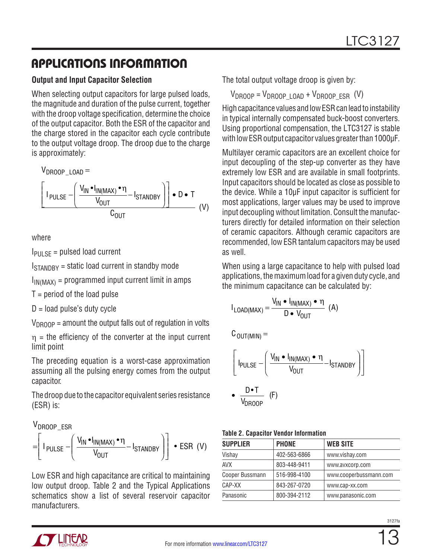#### **Output and Input Capacitor Selection**

When selecting output capacitors for large pulsed loads, the magnitude and duration of the pulse current, together with the droop voltage specification, determine the choice of the output capacitor. Both the ESR of the capacitor and the charge stored in the capacitor each cycle contribute to the output voltage droop. The droop due to the charge is approximately:

V DROOP\_LOAD = I  $V_{IN} \bullet I_{IN(MAX)} \bullet$ V  $\mathsf{I}_{\mathsf{STANDBY}}\mathbin\mathbin\Vert\bullet\mathsf{D}\bullet\mathsf{T}$  $\overline{C_{\text{OUT}}}$  (V) PULSE IN "IN(MAX) OUT  $-\left(\frac{V_{IN} \cdot I_{IN(MAX)} \cdot \eta}{V} - I_{STANDBY}\right)$ OUT  $\overline{\phantom{a}}$  $\parallel$  $\overline{a}$  $\overline{1}$  L L  $\overline{\phantom{a}}$  $\overline{\phantom{a}}$ J  $\overline{\phantom{a}}$  $\bullet$  D  $\bullet$ 

where

IPULSE = pulsed load current

 $I<sub>STANNBY</sub>$  = static load current in standby mode

 $I_{IN(MAX)}$  = programmed input current limit in amps

 $T =$  period of the load pulse

 $D =$ load pulse's duty cycle

 $V_{DROOP}$  = amount the output falls out of regulation in volts

 $\eta$  = the efficiency of the converter at the input current limit point

The preceding equation is a worst-case approximation assuming all the pulsing energy comes from the output capacitor.

The droop due to the capacitor equivalent series resistance (ESR) is:

V DROOP\_ESR I V<sub>IN</sub> •I<sub>IN(MAX)</sub> • V PULSE  $\frac{1}{V}$   $\frac{1}{V}$   $\frac{1}{V}$   $\frac{1}{V}$   $\frac{1}{V}$   $\frac{1}{V}$   $\frac{1}{V}$   $\frac{1}{V}$   $\frac{1}{V}$   $\frac{1}{V}$   $\frac{1}{V}$   $\frac{1}{V}$   $\frac{1}{V}$   $\frac{1}{V}$   $\frac{1}{V}$   $\frac{1}{V}$   $\frac{1}{V}$   $\frac{1}{V}$   $\frac{1}{V}$   $\frac{1}{V}$   $\frac{1}{V$ IN "IN(MAX) OUT  $=$   $\left| \begin{array}{c} \text{I}_{\text{PULSE}} - \frac{1}{2} \\ \text{I}_{\text{S}} \end{array} \right|$   $\frac{1}{2}$   $\left| \begin{array}{c} \text{STANDBY} \\ \text{STANDBY} \end{array} \right|$  $\frac{V_{IN} \cdot I_{IN(MAX)} \cdot \eta}{V}$ l  $\parallel$  $\lambda$  $\overline{1}$   $\mathsf{I}$ L  $\parallel$  $\overline{\phantom{a}}$ J  $\overline{\phantom{a}}$ 

Low ESR and high capacitance are critical to maintaining low output droop. Table 2 and the Typical Applications schematics show a list of several reservoir capacitor manufacturers.

The total output voltage droop is given by:

 $V_{DROOP} = V_{DROOP} + 0AD + V_{DROOP} FSR$  (V)

High capacitance values and low ESR can lead to instability in typical internally compensated buck-boost converters. Using proportional compensation, the LTC3127 is stable with low ESR output capacitor values greater than 1000µF.

Multilayer ceramic capacitors are an excellent choice for input decoupling of the step-up converter as they have extremely low ESR and are available in small footprints. Input capacitors should be located as close as possible to the device. While a 10µF input capacitor is sufficient for most applications, larger values may be used to improve input decoupling without limitation. Consult the manufacturers directly for detailed information on their selection of ceramic capacitors. Although ceramic capacitors are recommended, low ESR tantalum capacitors may be used as well.

When using a large capacitance to help with pulsed load applications, the maximum load for a given duty cycle, and the minimum capacitance can be calculated by:

$$
I_{\text{LOAD(MAX)}} = \frac{V_{\text{IN}} \cdot I_{\text{IN(MAX)}} \cdot \eta}{D \cdot V_{\text{OUT}}} (A)
$$

 ${\tt C}_{\tt OUT(MIN)}=$ 

$$
\left[\mathbf{I}_{\text{PULSE}} - \left(\frac{\mathbf{V}_{\text{IN}} \cdot \mathbf{I}_{\text{IN}(\text{MAX})} \cdot \mathbf{n}}{\mathbf{V}_{\text{OUT}}} - \mathbf{I}_{\text{STANDBY}}\right)\right]
$$

$$
\bullet \quad \frac{\mathsf{D} \bullet \mathsf{T}}{\mathsf{V}_{\mathsf{D}\mathsf{ROOP}}} \quad (\mathsf{F})
$$

|  |  |  | <b>Table 2. Capacitor Vendor Information</b> |
|--|--|--|----------------------------------------------|
|--|--|--|----------------------------------------------|

| <b>SUPPLIER</b> | <b>PHONE</b> | <b>WEB SITE</b>        |
|-----------------|--------------|------------------------|
| Vishay          | 402-563-6866 | www.vishay.com         |
| AVX             | 803-448-9411 | www.avxcorp.com        |
| Cooper Bussmann | 516-998-4100 | www.cooperbussmann.com |
| CAP-XX          | 843-267-0720 | www.cap-xx.com         |
| Panasonic       | 800-394-2112 | www.panasonic.com      |

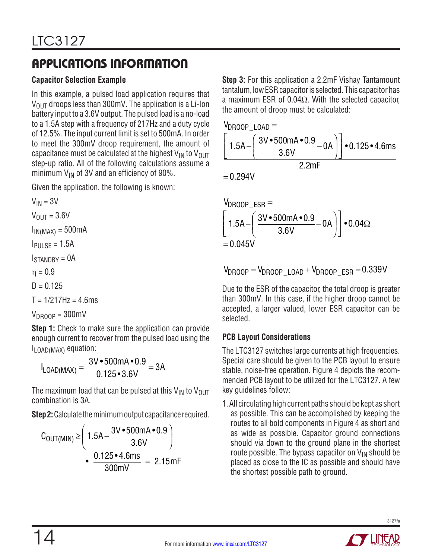### **Capacitor Selection Example**

In this example, a pulsed load application requires that  $V_{\text{OUT}}$  droops less than 300mV. The application is a Li-Ion battery input to a 3.6V output. The pulsed load is a no-load to a 1.5A step with a frequency of 217Hz and a duty cycle of 12.5%. The input current limit is set to 500mA. In order to meet the 300mV droop requirement, the amount of capacitance must be calculated at the highest  $V_{IN}$  to  $V_{OUT}$ step-up ratio. All of the following calculations assume a minimum  $V_{IN}$  of 3V and an efficiency of 90%.

Given the application, the following is known:

 $V_{IN} = 3V$  $V_{OIII} = 3.6V$  $I_{IN(MAX)} = 500mA$  $I<sub>PIII</sub>$ <sub>SF</sub> = 1.5A  $I<sub>STANNRY</sub> =  $0A$$  $n = 0.9$  $D = 0.125$  $T = 1/217$  Hz = 4.6 ms

 $V_{DROOP} = 300$ mV

**Step 1:** Check to make sure the application can provide enough current to recover from the pulsed load using the ILOAD(MAX) equation:

$$
I_{\text{LOAD(MAX)}} = \frac{3V \cdot 500 \text{mA} \cdot 0.9}{0.125 \cdot 3.6V} = 3A
$$

The maximum load that can be pulsed at this  $V_{IN}$  to  $V_{OUT}$ combination is 3A.

**Step 2:** Calculate the minimum output capacitance required.

$$
C_{OUT(MIN)} \ge \left(1.5A - \frac{3V \cdot 500mA \cdot 0.9}{3.6V}\right)
$$
  
• 
$$
\frac{0.125 \cdot 4.6ms}{300mV} = 2.15mF
$$

**Step 3:** For this application a 2.2mF Vishay Tantamount tantalum, low ESR capacitor is selected. This capacitor has a maximum ESR of 0.04Ω. With the selected capacitor, the amount of droop must be calculated:

$$
V_{DROOP\_LOAD} =
$$

$$
\left[1.5A - \left(\frac{3V \cdot 500mA \cdot 0.9}{3.6V} - 0A\right)\right] \cdot 0.125 \cdot 4.6ms
$$
  
2.2mF

 $= 0.294V$ 

$$
V_{\text{DROOP_ESR}} =
$$
\n
$$
\left[ 1.5A - \left( \frac{3V \cdot 500 \text{mA} \cdot 0.9}{3.6 \text{V}} - 0 \text{A} \right) \right] \cdot 0.04 \Omega
$$
\n= 0.045V

$$
V_{DROOP}=V_{DROOP\_LOAD}+V_{DROOP\_ESR}=0.339V
$$

Due to the ESR of the capacitor, the total droop is greater than 300mV. In this case, if the higher droop cannot be accepted, a larger valued, lower ESR capacitor can be selected.

### **PCB Layout Considerations**

The LTC3127 switches large currents at high frequencies. Special care should be given to the PCB layout to ensure stable, noise-free operation. Figure 4 depicts the recommended PCB layout to be utilized for the LTC3127. A few key guidelines follow:

1. All circulating high current paths should be kept as short as possible. This can be accomplished by keeping the routes to all bold components in Figure 4 as short and as wide as possible. Capacitor ground connections should via down to the ground plane in the shortest route possible. The bypass capacitor on  $V_{IN}$  should be placed as close to the IC as possible and should have the shortest possible path to ground.

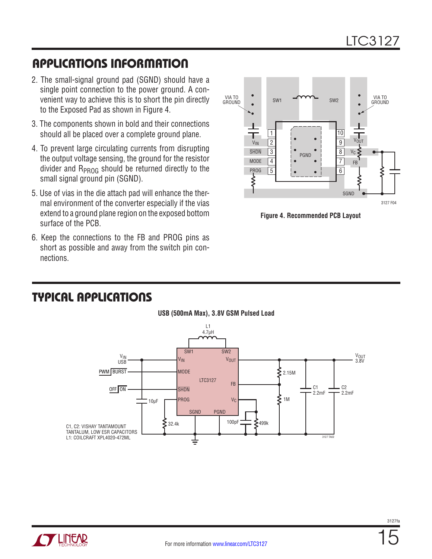- 2. The small-signal ground pad (SGND) should have a single point connection to the power ground. A convenient way to achieve this is to short the pin directly to the Exposed Pad as shown in Figure 4.
- 3. The components shown in bold and their connections should all be placed over a complete ground plane.
- 4. To prevent large circulating currents from disrupting the output voltage sensing, the ground for the resistor divider and  $R_{PROG}$  should be returned directly to the small signal ground pin (SGND).
- 5. Use of vias in the die attach pad will enhance the thermal environment of the converter especially if the vias extend to a ground plane region on the exposed bottom surface of the PCB.
- 6. Keep the connections to the FB and PROG pins as short as possible and away from the switch pin connections.



**Figure 4. Recommended PCB Layout**

### TYPICAL APPLICATIONS



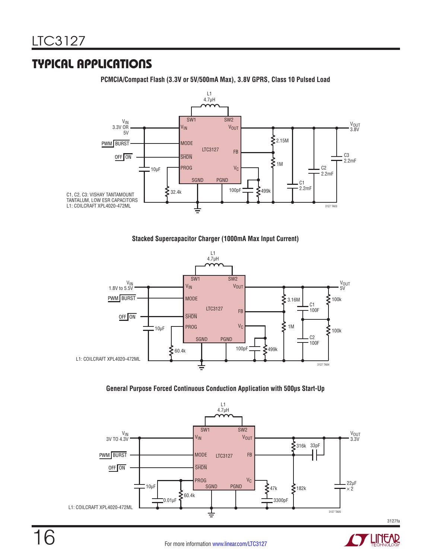### TYPICAL APPLICATIONS

**PCMCIA/Compact Flash (3.3V or 5V/500mA Max), 3.8V GPRS, Class 10 Pulsed Load**



#### **Stacked Supercapacitor Charger (1000mA Max Input Current)**



#### **General Purpose Forced Continuous Conduction Application with 500µs Start-Up**



3127fa

**LINEAR**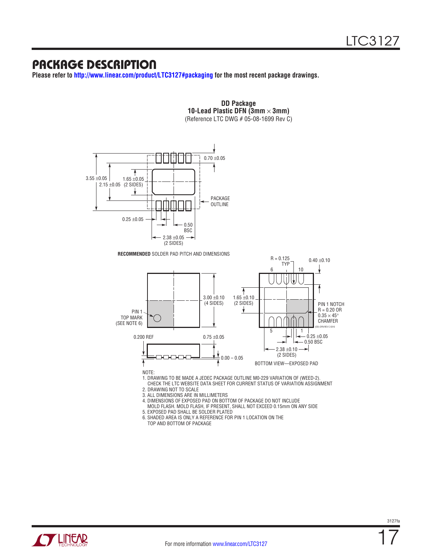### PACKAGE DESCRIPTION

**Please refer to <http://www.linear.com/product/LTC3127#packaging> for the most recent package drawings.**



**DD Package 10-Lead Plastic DFN (3mm**  $\times$  **3mm)** (Reference LTC DWG # 05-08-1699 Rev C)



NOTE:

1. DRAWING TO BE MADE A JEDEC PACKAGE OUTLINE M0-229 VARIATION OF (WEED-2).

 CHECK THE LTC WEBSITE DATA SHEET FOR CURRENT STATUS OF VARIATION ASSIGNMENT 2. DRAWING NOT TO SCALE

3. ALL DIMENSIONS ARE IN MILLIMETERS

- 4. DIMENSIONS OF EXPOSED PAD ON BOTTOM OF PACKAGE DO NOT INCLUDE MOLD FLASH. MOLD FLASH, IF PRESENT, SHALL NOT EXCEED 0.15mm ON ANY SIDE
- 5. EXPOSED PAD SHALL BE SOLDER PLATED
- 6. SHADED AREA IS ONLY A REFERENCE FOR PIN 1 LOCATION ON THE

TOP AND BOTTOM OF PACKAGE

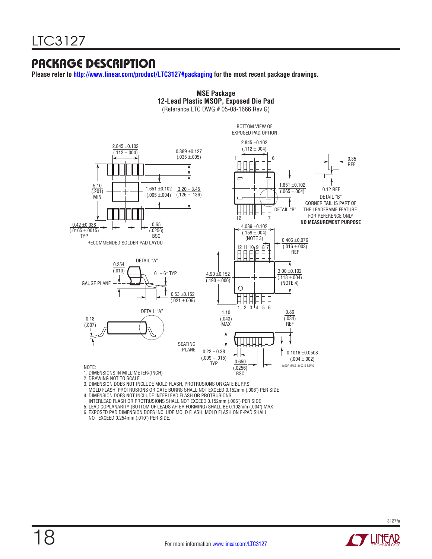### PACKAGE DESCRIPTION

**Please refer to<http://www.linear.com/product/LTC3127#packaging> for the most recent package drawings.**



**MSE Package**

3. DIMENSION DOES NOT INCLUDE MOLD FLASH, PROTRUSIONS OR GATE BURRS.

 MOLD FLASH, PROTRUSIONS OR GATE BURRS SHALL NOT EXCEED 0.152mm (.006") PER SIDE 4. DIMENSION DOES NOT INCLUDE INTERLEAD FLASH OR PROTRUSIONS.

INTERLEAD FLASH OR PROTRUSIONS SHALL NOT EXCEED 0.152mm (.006") PER SIDE

5. LEAD COPLANARITY (BOTTOM OF LEADS AFTER FORMING) SHALL BE 0.102mm (.004") MAX

6. EXPOSED PAD DIMENSION DOES INCLUDE MOLD FLASH. MOLD FLASH ON E-PAD SHALL

NOT EXCEED 0.254mm (.010") PER SIDE.

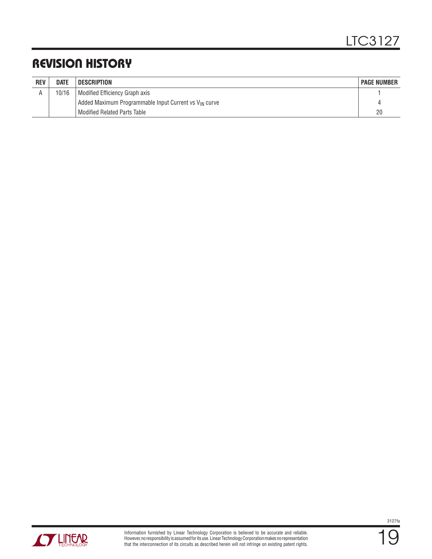## REVISION HISTORY

| <b>REV</b> | <b>DATE</b> | <b>DESCRIPTION</b>                                                | <b>PAGE NUMBER</b> |
|------------|-------------|-------------------------------------------------------------------|--------------------|
|            | 10/16       | Modified Efficiency Graph axis                                    |                    |
|            |             | Added Maximum Programmable Input Current vs V <sub>IN</sub> curve |                    |
|            |             | <b>Modified Related Parts Table</b>                               | 20                 |